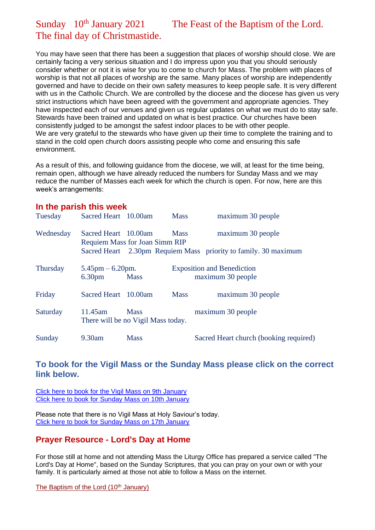# Sunday 10<sup>th</sup> January 2021 The Feast of the Baptism of the Lord. The final day of Christmastide.

You may have seen that there has been a suggestion that places of worship should close. We are certainly facing a very serious situation and I do impress upon you that you should seriously consider whether or not it is wise for you to come to church for Mass. The problem with places of worship is that not all places of worship are the same. Many places of worship are independently governed and have to decide on their own safety measures to keep people safe. It is very different with us in the Catholic Church. We are controlled by the diocese and the diocese has given us very strict instructions which have been agreed with the government and appropriate agencies. They have inspected each of our venues and given us regular updates on what we must do to stay safe. Stewards have been trained and updated on what is best practice. Our churches have been consistently judged to be amongst the safest indoor places to be with other people. We are very grateful to the stewards who have given up their time to complete the training and to stand in the cold open church doors assisting people who come and ensuring this safe environment.

As a result of this, and following guidance from the diocese, we will, at least for the time being, remain open, although we have already reduced the numbers for Sunday Mass and we may reduce the number of Masses each week for which the church is open. For now, here are this week's arrangements:

| In the parish this week |                                                          |                                                   |             |                                                                 |
|-------------------------|----------------------------------------------------------|---------------------------------------------------|-------------|-----------------------------------------------------------------|
| Tuesday                 | Sacred Heart 10.00am                                     |                                                   | <b>Mass</b> | maximum 30 people                                               |
| Wednesday               | Sacred Heart 10.00am                                     | <b>Requiem Mass for Joan Simm RIP</b>             | <b>Mass</b> | maximum 30 people                                               |
|                         |                                                          |                                                   |             | Sacred Heart 2.30pm Requiem Mass priority to family. 30 maximum |
| <b>Thursday</b>         | $5.45 \text{pm} - 6.20 \text{pm}.$<br>6.30 <sub>pm</sub> | <b>Mass</b>                                       |             | <b>Exposition and Benediction</b><br>maximum 30 people          |
| Friday                  | Sacred Heart 10.00am                                     |                                                   | <b>Mass</b> | maximum 30 people                                               |
| Saturday                | 11.45am                                                  | <b>Mass</b><br>There will be no Vigil Mass today. |             | maximum 30 people                                               |
| Sunday                  | 9.30am                                                   | <b>Mass</b>                                       |             | Sacred Heart church (booking required)                          |

#### **To book for the Vigil Mass or the Sunday Mass please click on the correct link below.**

[Click here to book for the Vigil Mass on 9th January](https://www.eventbrite.co.uk/e/vigil-mass-holy-saviours-nelson-on-9th-january-2021-tickets-134898161031) [Click here to book for Sunday Mass on 10th January](https://www.eventbrite.co.uk/e/sunday-mass-at-sacred-heart-colne-sunday-10th-january-2021-tickets-134898536153)

Please note that there is no Vigil Mass at Holy Saviour's today. [Click here to book for Sunday Mass on 17th January](https://www.eventbrite.co.uk/e/sunday-mass-at-sacred-heart-colne-sunday-17th-january-2021-tickets-136015992495)

## **Prayer Resource - Lord's Day at Home**

For those still at home and not attending Mass the Liturgy Office has prepared a service called "The Lord's Day at Home", based on the Sunday Scriptures, that you can pray on your own or with your family. It is particularly aimed at those not able to follow a Mass on the internet.

[The Baptism of the Lord \(10](https://dioceseofsalford.us6.list-manage.com/track/click?u=76e219dab8653b775ba8aac4c&id=205c112932&e=5ce69633f0)<sup>th</sup> January)